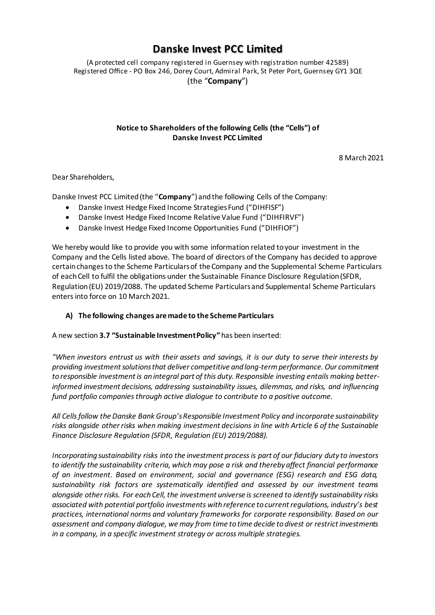# **Danske Invest PCC Limited**

(A protected cell company registered in Guernsey with registration number 42589) Registered Office - PO Box 246, Dorey Court, Admiral Park, St Peter Port, Guernsey GY1 3QE (the "**Company**")

### **Notice to Shareholders of the following Cells (the "Cells") of Danske Invest PCC Limited**

8 March 2021

Dear Shareholders,

Danske Invest PCC Limited (the "**Company**") and the following Cells of the Company:

- Danske Invest Hedge Fixed Income Strategies Fund ("DIHFISF")
- Danske Invest Hedge Fixed Income Relative Value Fund ("DIHFIRVF")
- Danske Invest Hedge Fixed Income Opportunities Fund ("DIHFIOF")

We hereby would like to provide you with some information related to your investment in the Company and the Cells listed above. The board of directors of the Company has decided to approve certain changes to the Scheme Particulars of the Company and the Supplemental Scheme Particulars of each Cell to fulfil the obligations under the Sustainable Finance Disclosure Regulation (SFDR, Regulation (EU) 2019/2088. The updated Scheme Particulars and Supplemental Scheme Particulars enters into force on 10 March 2021.

## **A) The following changes are made to the Scheme Particulars**

A new section **3.7 "Sustainable Investment Policy"** has been inserted:

*"When investors entrust us with their assets and savings, it is our duty to serve their interests by providing investment solutions that deliver competitive and long-term performance. Our commitment to responsible investment is an integral part of this duty. Responsible investing entails making betterinformed investment decisions, addressing sustainability issues, dilemmas, and risks, and influencing fund portfolio companies through active dialogue to contribute to a positive outcome.*

*All Cells follow the Danske Bank Group's Responsible Investment Policy and incorporate sustainability risks alongside other risks when making investment decisions in line with Article 6 of the Sustainable Finance Disclosure Regulation (SFDR, Regulation (EU) 2019/2088).*

*Incorporating sustainability risks into the investment process is part of our fiduciary duty to investors to identify the sustainability criteria, which may pose a risk and thereby affect financial performance of an investment. Based on environment, social and governance (ESG) research and ESG data, sustainability risk factors are systematically identified and assessed by our investment teams alongside other risks. For each Cell, the investment universe is screened to identify sustainability risks associated with potential portfolio investments with reference to current regulations, industry's best practices, international norms and voluntary frameworks for corporate responsibility. Based on our assessment and company dialogue, we may from time to time decide to divest or restrict investments in a company, in a specific investment strategy or across multiple strategies.*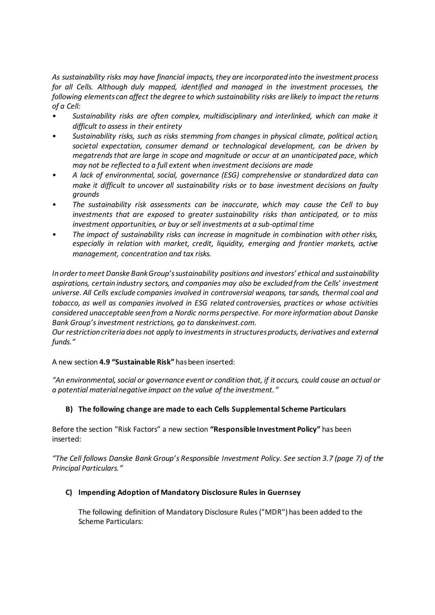*As sustainability risks may have financial impacts, they are incorporated into the investment process for all Cells. Although duly mapped, identified and managed in the investment processes, the following elements can affect the degree to which sustainability risks are likely to impact the returns of a Cell:*

- *• Sustainability risks are often complex, multidisciplinary and interlinked, which can make it difficult to assess in their entirety*
- *• Sustainability risks, such as risks stemming from changes in physical climate, political action, societal expectation, consumer demand or technological development, can be driven by megatrends that are large in scope and magnitude or occur at an unanticipated pace, which may not be reflected to a full extent when investment decisions are made*
- *• A lack of environmental, social, governance (ESG) comprehensive or standardized data can make it difficult to uncover all sustainability risks or to base investment decisions on faulty grounds*
- *• The sustainability risk assessments can be inaccurate, which may cause the Cell to buy investments that are exposed to greater sustainability risks than anticipated, or to miss investment opportunities, or buy or sell investments at a sub-optimal time*
- *• The impact of sustainability risks can increase in magnitude in combination with other risks, especially in relation with market, credit, liquidity, emerging and frontier markets, active management, concentration and tax risks.*

*In order to meet Danske Bank Group's sustainability positions and investors' ethical and sustainability aspirations, certain industry sectors, and companies may also be excluded from the Cells' investment universe. All Cells exclude companies involved in controversial weapons, tar sands, thermal coal and tobacco, as well as companies involved in ESG related controversies, practices or whose activities considered unacceptable seen from a Nordic norms perspective. For more information about Danske Bank Group's investment restrictions, go to danskeinvest.com.*

*Our restriction criteria does not apply to investments in structures products, derivatives and external funds."*

A new section **4.9 "Sustainable Risk"** has been inserted:

*"An environmental, social or governance event or condition that, if it occurs, could cause an actual or a potential material negative impact on the value of the investment."*

## **B) The following change are made to each Cells Supplemental Scheme Particulars**

Before the section "Risk Factors" a new section **"Responsible Investment Policy"** has been inserted:

*"The Cell follows Danske Bank Group's Responsible Investment Policy. See section 3.7 (page 7) of the Principal Particulars."*

## **C) Impending Adoption of Mandatory Disclosure Rules in Guernsey**

The following definition of Mandatory Disclosure Rules ("MDR") has been added to the Scheme Particulars: